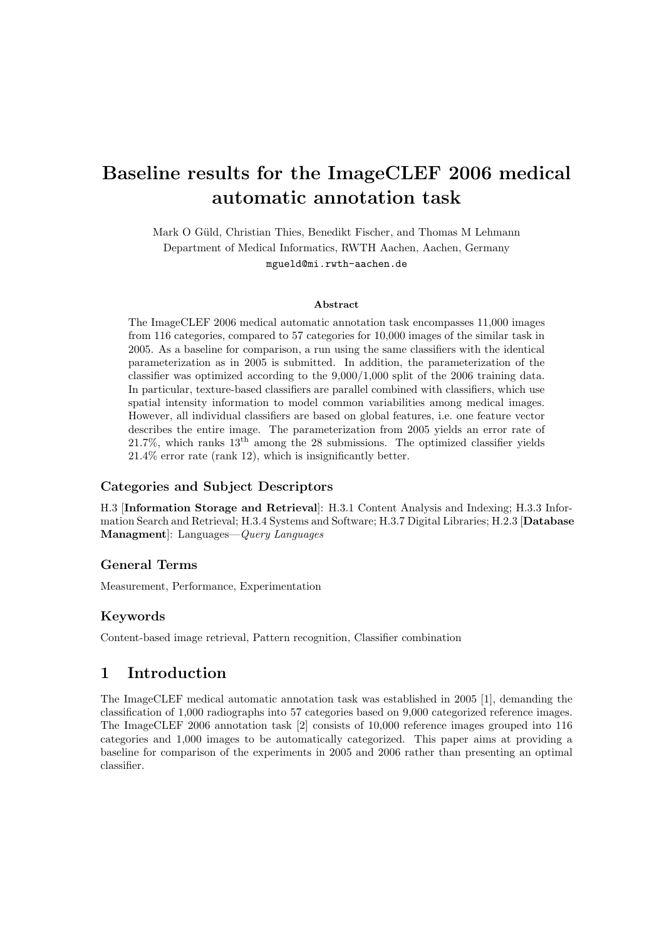# Baseline results for the ImageCLEF 2006 medical automatic annotation task

Mark O Güld, Christian Thies, Benedikt Fischer, and Thomas M Lehmann Department of Medical Informatics, RWTH Aachen, Aachen, Germany mgueld@mi.rwth-aachen.de

#### Abstract

The ImageCLEF 2006 medical automatic annotation task encompasses 11,000 images from 116 categories, compared to 57 categories for 10,000 images of the similar task in 2005. As a baseline for comparison, a run using the same classifiers with the identical parameterization as in 2005 is submitted. In addition, the parameterization of the classifier was optimized according to the 9,000/1,000 split of the 2006 training data. In particular, texture-based classifiers are parallel combined with classifiers, which use spatial intensity information to model common variabilities among medical images. However, all individual classifiers are based on global features, i.e. one feature vector describes the entire image. The parameterization from 2005 yields an error rate of  $21.7\%$ , which ranks  $13<sup>th</sup>$  among the 28 submissions. The optimized classifier yields 21.4% error rate (rank 12), which is insignificantly better.

#### Categories and Subject Descriptors

H.3 [Information Storage and Retrieval]: H.3.1 Content Analysis and Indexing; H.3.3 Information Search and Retrieval; H.3.4 Systems and Software; H.3.7 Digital Libraries; H.2.3 [Database Managment]: Languages—Query Languages

#### General Terms

Measurement, Performance, Experimentation

#### Keywords

Content-based image retrieval, Pattern recognition, Classifier combination

# 1 Introduction

The ImageCLEF medical automatic annotation task was established in 2005 [1], demanding the classification of 1,000 radiographs into 57 categories based on 9,000 categorized reference images. The ImageCLEF 2006 annotation task [2] consists of 10,000 reference images grouped into 116 categories and 1,000 images to be automatically categorized. This paper aims at providing a baseline for comparison of the experiments in 2005 and 2006 rather than presenting an optimal classifier.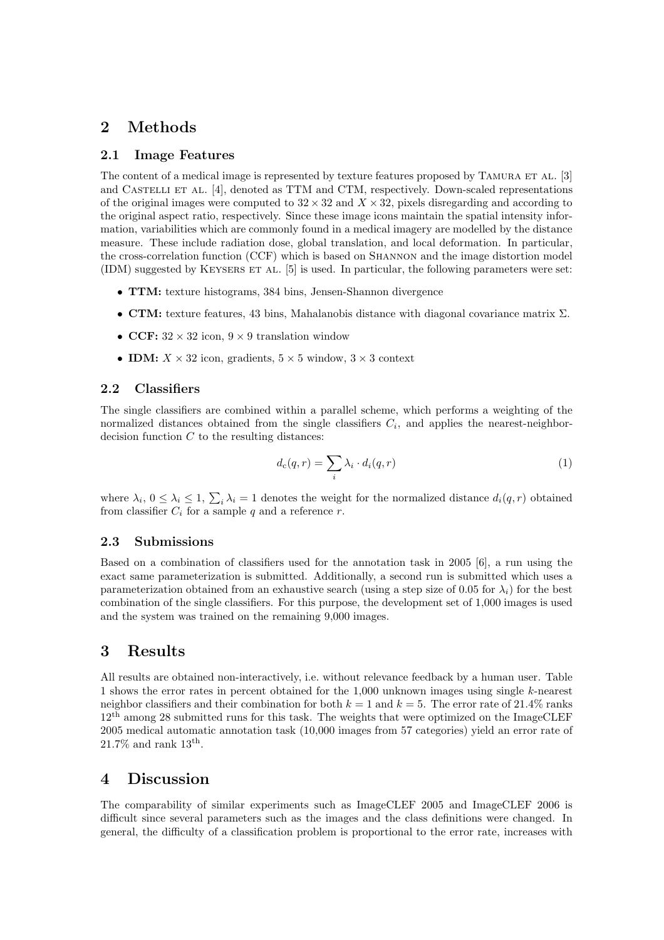## 2 Methods

#### 2.1 Image Features

The content of a medical image is represented by texture features proposed by TAMURA ET AL. [3] and CASTELLI ET AL. [4], denoted as TTM and CTM, respectively. Down-scaled representations of the original images were computed to  $32 \times 32$  and  $X \times 32$ , pixels disregarding and according to the original aspect ratio, respectively. Since these image icons maintain the spatial intensity information, variabilities which are commonly found in a medical imagery are modelled by the distance measure. These include radiation dose, global translation, and local deformation. In particular, the cross-correlation function (CCF) which is based on Shannon and the image distortion model (IDM) suggested by Keysers et al. [5] is used. In particular, the following parameters were set:

- TTM: texture histograms, 384 bins, Jensen-Shannon divergence
- CTM: texture features, 43 bins, Mahalanobis distance with diagonal covariance matrix  $\Sigma$ .
- CCF:  $32 \times 32$  icon,  $9 \times 9$  translation window
- **IDM:**  $X \times 32$  icon, gradients,  $5 \times 5$  window,  $3 \times 3$  context

## 2.2 Classifiers

The single classifiers are combined within a parallel scheme, which performs a weighting of the normalized distances obtained from the single classifiers  $C_i$ , and applies the nearest-neighbordecision function  $C$  to the resulting distances:

$$
d_{\mathbf{c}}(q,r) = \sum_{i} \lambda_i \cdot d_i(q,r) \tag{1}
$$

where  $\lambda_i$ ,  $0 \leq \lambda_i \leq 1$ ,  $\sum_i \lambda_i = 1$  denotes the weight for the normalized distance  $d_i(q, r)$  obtained from classifier  $C_i$  for a sample q and a reference r.

#### 2.3 Submissions

Based on a combination of classifiers used for the annotation task in 2005 [6], a run using the exact same parameterization is submitted. Additionally, a second run is submitted which uses a parameterization obtained from an exhaustive search (using a step size of 0.05 for  $\lambda_i$ ) for the best combination of the single classifiers. For this purpose, the development set of 1,000 images is used and the system was trained on the remaining 9,000 images.

## 3 Results

All results are obtained non-interactively, i.e. without relevance feedback by a human user. Table 1 shows the error rates in percent obtained for the 1,000 unknown images using single k-nearest neighbor classifiers and their combination for both  $k = 1$  and  $k = 5$ . The error rate of 21.4% ranks 12th among 28 submitted runs for this task. The weights that were optimized on the ImageCLEF 2005 medical automatic annotation task (10,000 images from 57 categories) yield an error rate of  $21.7\%$  and rank  $13<sup>th</sup>$ .

## 4 Discussion

The comparability of similar experiments such as ImageCLEF 2005 and ImageCLEF 2006 is difficult since several parameters such as the images and the class definitions were changed. In general, the difficulty of a classification problem is proportional to the error rate, increases with